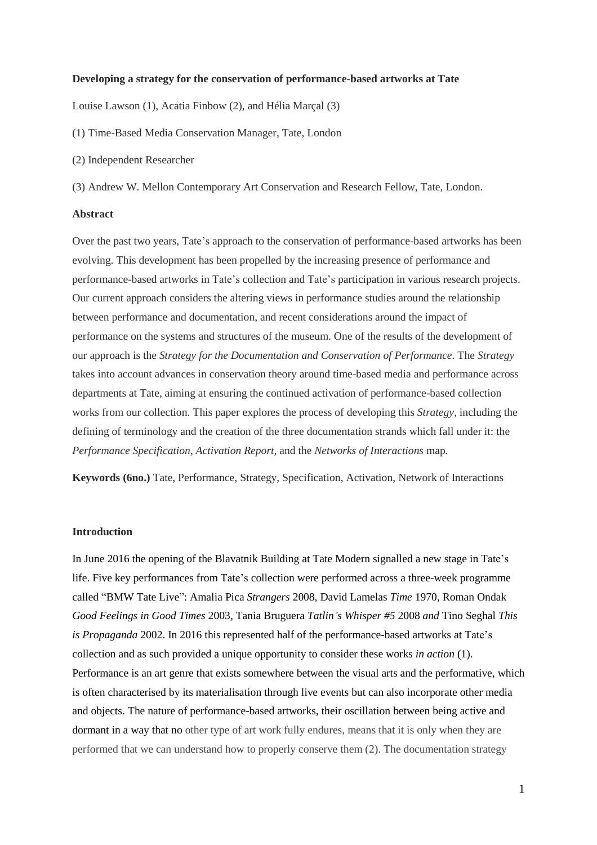#### **Developing a strategy for the conservation of performance-based artworks at Tate**

Louise Lawson (1), Acatia Finbow (2), and Hélia Marçal (3)

- (1) Time-Based Media Conservation Manager, Tate, London
- (2) Independent Researcher

(3) Andrew W. Mellon Contemporary Art Conservation and Research Fellow, Tate, London.

### **Abstract**

Over the past two years, Tate's approach to the conservation of performance-based artworks has been evolving. This development has been propelled by the increasing presence of performance and performance-based artworks in Tate's collection and Tate's participation in various research projects. Our current approach considers the altering views in performance studies around the relationship between performance and documentation, and recent considerations around the impact of performance on the systems and structures of the museum. One of the results of the development of our approach is the *Strategy for the Documentation and Conservation of Performance.* The *Strategy* takes into account advances in conservation theory around time-based media and performance across departments at Tate, aiming at ensuring the continued activation of performance-based collection works from our collection. This paper explores the process of developing this *Strategy,* including the defining of terminology and the creation of the three documentation strands which fall under it: the *Performance Specification*, *Activation Report,* and the *Networks of Interactions* map*.*

**Keywords (6no.)** Tate, Performance, Strategy, Specification, Activation, Network of Interactions

### **Introduction**

In June 2016 the opening of the Blavatnik Building at Tate Modern signalled a new stage in Tate's life. Five key performances from Tate's collection were performed across a three-week programme called "BMW Tate Live": Amalia Pica *Strangers* 2008*,* David Lamelas *Time* 1970*,* Roman Ondak *Good Feelings in Good Times* 2003*,* Tania Bruguera *Tatlin's Whisper #5* 2008 *and* Tino Seghal *This is Propaganda* 2002. In 2016 this represented half of the performance-based artworks at Tate's collection and as such provided a unique opportunity to consider these works *in action* (1). Performance is an art genre that exists somewhere between the visual arts and the performative, which is often characterised by its materialisation through live events but can also incorporate other media and objects. The nature of performance-based artworks, their oscillation between being active and dormant in a way that no other type of art work fully endures, means that it is only when they are performed that we can understand how to properly conserve them (2). The documentation strategy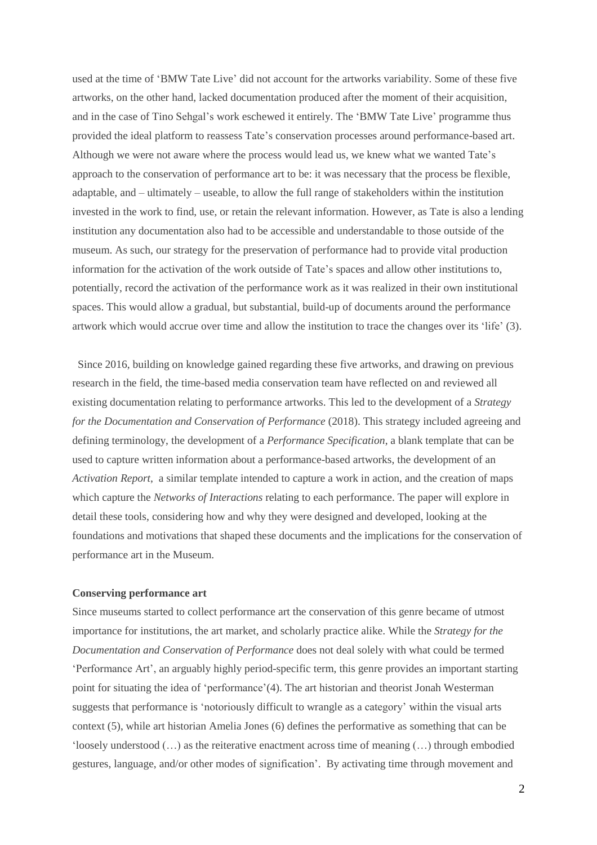used at the time of 'BMW Tate Live' did not account for the artworks variability. Some of these five artworks, on the other hand, lacked documentation produced after the moment of their acquisition, and in the case of Tino Sehgal's work eschewed it entirely. The 'BMW Tate Live' programme thus provided the ideal platform to reassess Tate's conservation processes around performance-based art. Although we were not aware where the process would lead us, we knew what we wanted Tate's approach to the conservation of performance art to be: it was necessary that the process be flexible, adaptable, and – ultimately – useable, to allow the full range of stakeholders within the institution invested in the work to find, use, or retain the relevant information. However, as Tate is also a lending institution any documentation also had to be accessible and understandable to those outside of the museum. As such, our strategy for the preservation of performance had to provide vital production information for the activation of the work outside of Tate's spaces and allow other institutions to, potentially, record the activation of the performance work as it was realized in their own institutional spaces. This would allow a gradual, but substantial, build-up of documents around the performance artwork which would accrue over time and allow the institution to trace the changes over its 'life' (3).

 Since 2016, building on knowledge gained regarding these five artworks, and drawing on previous research in the field, the time-based media conservation team have reflected on and reviewed all existing documentation relating to performance artworks. This led to the development of a *Strategy for the Documentation and Conservation of Performance* (2018). This strategy included agreeing and defining terminology, the development of a *Performance Specification*, a blank template that can be used to capture written information about a performance-based artworks, the development of an *Activation Report*, a similar template intended to capture a work in action, and the creation of maps which capture the *Networks of Interactions* relating to each performance. The paper will explore in detail these tools, considering how and why they were designed and developed, looking at the foundations and motivations that shaped these documents and the implications for the conservation of performance art in the Museum.

# **Conserving performance art**

Since museums started to collect performance art the conservation of this genre became of utmost importance for institutions, the art market, and scholarly practice alike. While the *Strategy for the Documentation and Conservation of Performance* does not deal solely with what could be termed 'Performance Art', an arguably highly period-specific term, this genre provides an important starting point for situating the idea of 'performance'(4). The art historian and theorist Jonah Westerman suggests that performance is 'notoriously difficult to wrangle as a category' within the visual arts context (5), while art historian Amelia Jones (6) defines the performative as something that can be 'loosely understood (…) as the reiterative enactment across time of meaning (…) through embodied gestures, language, and/or other modes of signification'. By activating time through movement and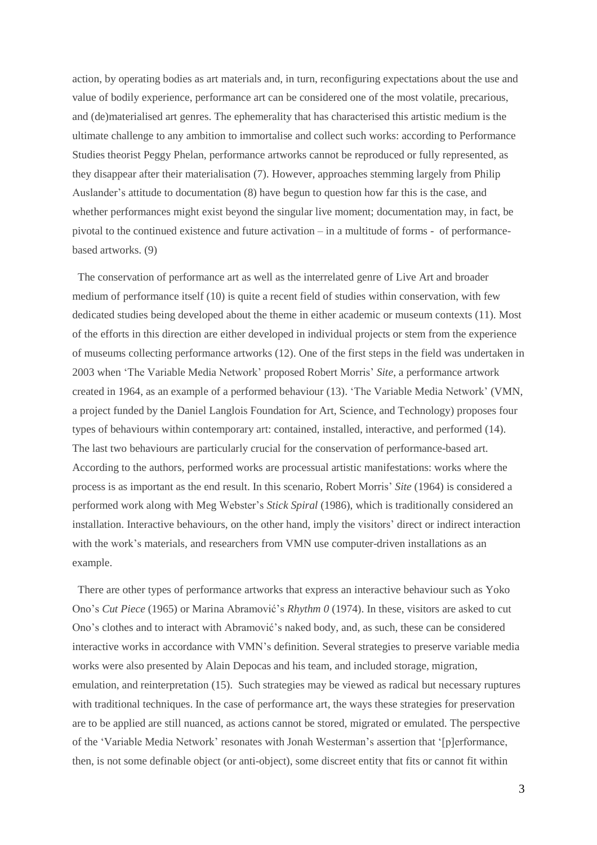action, by operating bodies as art materials and, in turn, reconfiguring expectations about the use and value of bodily experience, performance art can be considered one of the most volatile, precarious, and (de)materialised art genres. The ephemerality that has characterised this artistic medium is the ultimate challenge to any ambition to immortalise and collect such works: according to Performance Studies theorist Peggy Phelan, performance artworks cannot be reproduced or fully represented, as they disappear after their materialisation (7). However, approaches stemming largely from Philip Auslander's attitude to documentation (8) have begun to question how far this is the case, and whether performances might exist beyond the singular live moment; documentation may, in fact, be pivotal to the continued existence and future activation – in a multitude of forms - of performancebased artworks. (9)

 The conservation of performance art as well as the interrelated genre of Live Art and broader medium of performance itself (10) is quite a recent field of studies within conservation, with few dedicated studies being developed about the theme in either academic or museum contexts (11). Most of the efforts in this direction are either developed in individual projects or stem from the experience of museums collecting performance artworks (12). One of the first steps in the field was undertaken in 2003 when 'The Variable Media Network' proposed Robert Morris' *Site*, a performance artwork created in 1964, as an example of a performed behaviour (13). 'The Variable Media Network' (VMN, a project funded by the Daniel Langlois Foundation for Art, Science, and Technology) proposes four types of behaviours within contemporary art: contained, installed, interactive, and performed (14). The last two behaviours are particularly crucial for the conservation of performance-based art. According to the authors, performed works are processual artistic manifestations: works where the process is as important as the end result. In this scenario, Robert Morris' *Site* (1964) is considered a performed work along with Meg Webster's *Stick Spiral* (1986), which is traditionally considered an installation. Interactive behaviours, on the other hand, imply the visitors' direct or indirect interaction with the work's materials, and researchers from VMN use computer-driven installations as an example.

 There are other types of performance artworks that express an interactive behaviour such as Yoko Ono's *Cut Piece* (1965) or Marina Abramović's *Rhythm 0* (1974). In these, visitors are asked to cut Ono's clothes and to interact with Abramović's naked body, and, as such, these can be considered interactive works in accordance with VMN's definition. Several strategies to preserve variable media works were also presented by Alain Depocas and his team, and included storage, migration, emulation, and reinterpretation (15). Such strategies may be viewed as radical but necessary ruptures with traditional techniques. In the case of performance art, the ways these strategies for preservation are to be applied are still nuanced, as actions cannot be stored, migrated or emulated. The perspective of the 'Variable Media Network' resonates with Jonah Westerman's assertion that '[p]erformance, then, is not some definable object (or anti-object), some discreet entity that fits or cannot fit within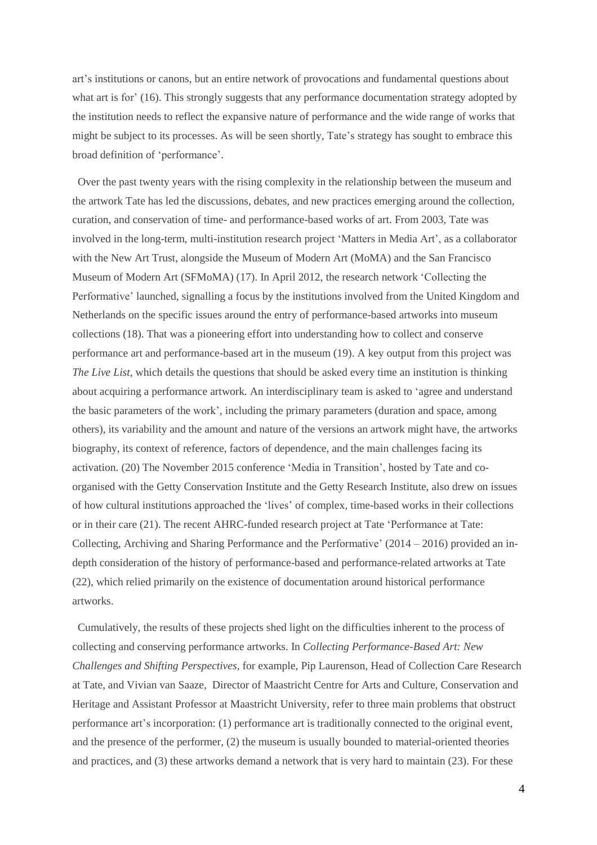art's institutions or canons, but an entire network of provocations and fundamental questions about what art is for' (16). This strongly suggests that any performance documentation strategy adopted by the institution needs to reflect the expansive nature of performance and the wide range of works that might be subject to its processes. As will be seen shortly, Tate's strategy has sought to embrace this broad definition of 'performance'.

 Over the past twenty years with the rising complexity in the relationship between the museum and the artwork Tate has led the discussions, debates, and new practices emerging around the collection, curation, and conservation of time- and performance-based works of art. From 2003, Tate was involved in the long-term, multi-institution research project 'Matters in Media Art', as a collaborator with the New Art Trust, alongside the Museum of Modern Art (MoMA) and the San Francisco Museum of Modern Art (SFMoMA) (17). In April 2012, the research network 'Collecting the Performative' launched, signalling a focus by the institutions involved from the United Kingdom and Netherlands on the specific issues around the entry of performance-based artworks into museum collections (18). That was a pioneering effort into understanding how to collect and conserve performance art and performance-based art in the museum (19). A key output from this project was *The Live List*, which details the questions that should be asked every time an institution is thinking about acquiring a performance artwork. An interdisciplinary team is asked to 'agree and understand the basic parameters of the work', including the primary parameters (duration and space, among others), its variability and the amount and nature of the versions an artwork might have, the artworks biography, its context of reference, factors of dependence, and the main challenges facing its activation. (20) The November 2015 conference 'Media in Transition', hosted by Tate and coorganised with the Getty Conservation Institute and the Getty Research Institute, also drew on issues of how cultural institutions approached the 'lives' of complex, time-based works in their collections or in their care (21). The recent AHRC-funded research project at Tate 'Performance at Tate: Collecting, Archiving and Sharing Performance and the Performative' (2014 – 2016) provided an indepth consideration of the history of performance-based and performance-related artworks at Tate (22), which relied primarily on the existence of documentation around historical performance artworks.

 Cumulatively, the results of these projects shed light on the difficulties inherent to the process of collecting and conserving performance artworks. In *Collecting Performance-Based Art: New Challenges and Shifting Perspectives*, for example, Pip Laurenson, Head of Collection Care Research at Tate, and Vivian van Saaze, Director of Maastricht Centre for Arts and Culture, Conservation and Heritage and Assistant Professor at Maastricht University, refer to three main problems that obstruct performance art's incorporation: (1) performance art is traditionally connected to the original event, and the presence of the performer, (2) the museum is usually bounded to material-oriented theories and practices, and (3) these artworks demand a network that is very hard to maintain (23). For these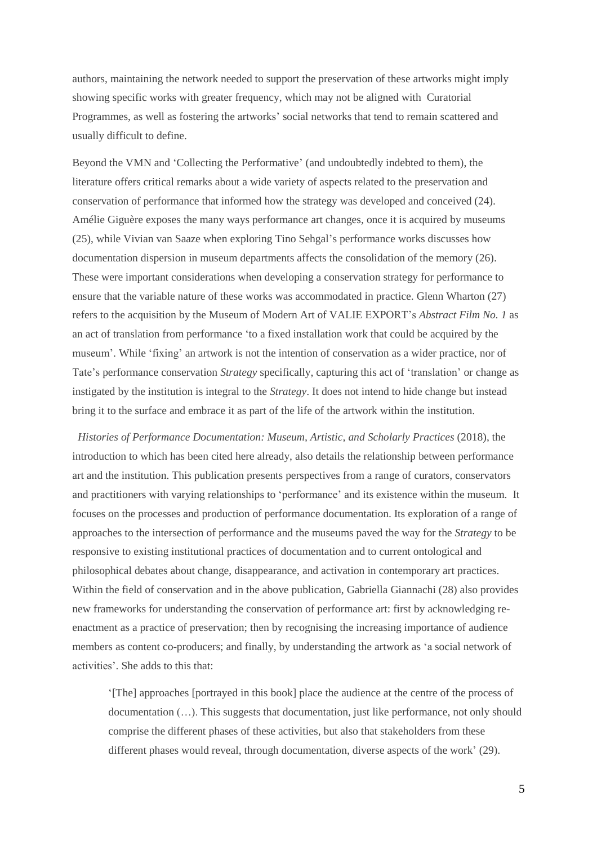authors, maintaining the network needed to support the preservation of these artworks might imply showing specific works with greater frequency, which may not be aligned with Curatorial Programmes, as well as fostering the artworks' social networks that tend to remain scattered and usually difficult to define.

Beyond the VMN and 'Collecting the Performative' (and undoubtedly indebted to them), the literature offers critical remarks about a wide variety of aspects related to the preservation and conservation of performance that informed how the strategy was developed and conceived (24). Amélie Giguère exposes the many ways performance art changes, once it is acquired by museums (25), while Vivian van Saaze when exploring Tino Sehgal's performance works discusses how documentation dispersion in museum departments affects the consolidation of the memory (26). These were important considerations when developing a conservation strategy for performance to ensure that the variable nature of these works was accommodated in practice. Glenn Wharton (27) refers to the acquisition by the Museum of Modern Art of VALIE EXPORT's *Abstract Film No. 1* as an act of translation from performance 'to a fixed installation work that could be acquired by the museum'. While 'fixing' an artwork is not the intention of conservation as a wider practice, nor of Tate's performance conservation *Strategy* specifically, capturing this act of 'translation' or change as instigated by the institution is integral to the *Strategy*. It does not intend to hide change but instead bring it to the surface and embrace it as part of the life of the artwork within the institution.

 *Histories of Performance Documentation: Museum, Artistic, and Scholarly Practices* (2018), the introduction to which has been cited here already, also details the relationship between performance art and the institution. This publication presents perspectives from a range of curators, conservators and practitioners with varying relationships to 'performance' and its existence within the museum. It focuses on the processes and production of performance documentation. Its exploration of a range of approaches to the intersection of performance and the museums paved the way for the *Strategy* to be responsive to existing institutional practices of documentation and to current ontological and philosophical debates about change, disappearance, and activation in contemporary art practices. Within the field of conservation and in the above publication, Gabriella Giannachi (28) also provides new frameworks for understanding the conservation of performance art: first by acknowledging reenactment as a practice of preservation; then by recognising the increasing importance of audience members as content co-producers; and finally, by understanding the artwork as 'a social network of activities'. She adds to this that:

'[The] approaches [portrayed in this book] place the audience at the centre of the process of documentation (…). This suggests that documentation, just like performance, not only should comprise the different phases of these activities, but also that stakeholders from these different phases would reveal, through documentation, diverse aspects of the work' (29).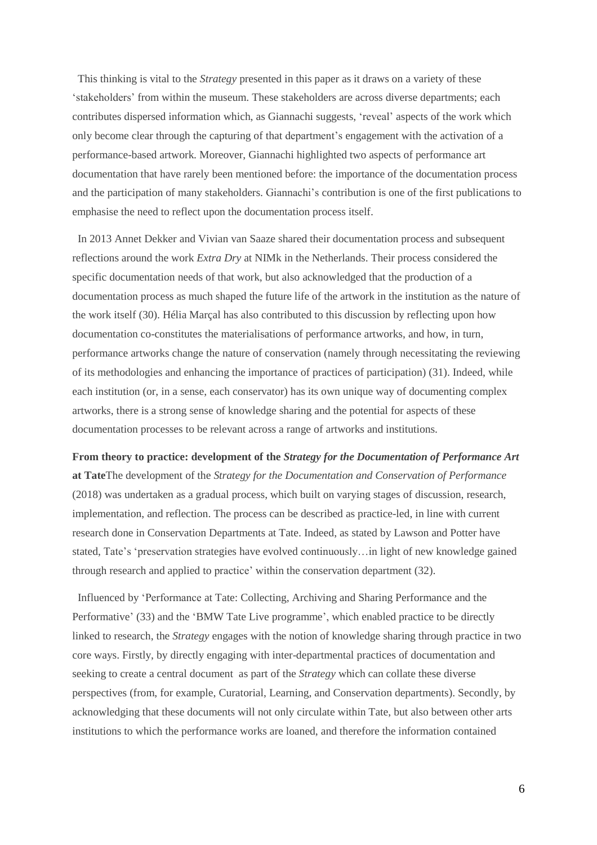This thinking is vital to the *Strategy* presented in this paper as it draws on a variety of these 'stakeholders' from within the museum. These stakeholders are across diverse departments; each contributes dispersed information which, as Giannachi suggests, 'reveal' aspects of the work which only become clear through the capturing of that department's engagement with the activation of a performance-based artwork. Moreover, Giannachi highlighted two aspects of performance art documentation that have rarely been mentioned before: the importance of the documentation process and the participation of many stakeholders. Giannachi's contribution is one of the first publications to emphasise the need to reflect upon the documentation process itself.

 In 2013 Annet Dekker and Vivian van Saaze shared their documentation process and subsequent reflections around the work *Extra Dry* at NIMk in the Netherlands. Their process considered the specific documentation needs of that work, but also acknowledged that the production of a documentation process as much shaped the future life of the artwork in the institution as the nature of the work itself (30). Hélia Marçal has also contributed to this discussion by reflecting upon how documentation co-constitutes the materialisations of performance artworks, and how, in turn, performance artworks change the nature of conservation (namely through necessitating the reviewing of its methodologies and enhancing the importance of practices of participation) (31). Indeed, while each institution (or, in a sense, each conservator) has its own unique way of documenting complex artworks, there is a strong sense of knowledge sharing and the potential for aspects of these documentation processes to be relevant across a range of artworks and institutions.

**From theory to practice: development of the** *Strategy for the Documentation of Performance Art* **at Tate**The development of the *Strategy for the Documentation and Conservation of Performance* (2018) was undertaken as a gradual process, which built on varying stages of discussion, research, implementation, and reflection. The process can be described as practice-led, in line with current research done in Conservation Departments at Tate. Indeed, as stated by Lawson and Potter have stated, Tate's 'preservation strategies have evolved continuously…in light of new knowledge gained through research and applied to practice' within the conservation department (32).

 Influenced by 'Performance at Tate: Collecting, Archiving and Sharing Performance and the Performative' (33) and the 'BMW Tate Live programme', which enabled practice to be directly linked to research, the *Strategy* engages with the notion of knowledge sharing through practice in two core ways. Firstly, by directly engaging with inter-departmental practices of documentation and seeking to create a central document as part of the *Strategy* which can collate these diverse perspectives (from, for example, Curatorial, Learning, and Conservation departments). Secondly, by acknowledging that these documents will not only circulate within Tate, but also between other arts institutions to which the performance works are loaned, and therefore the information contained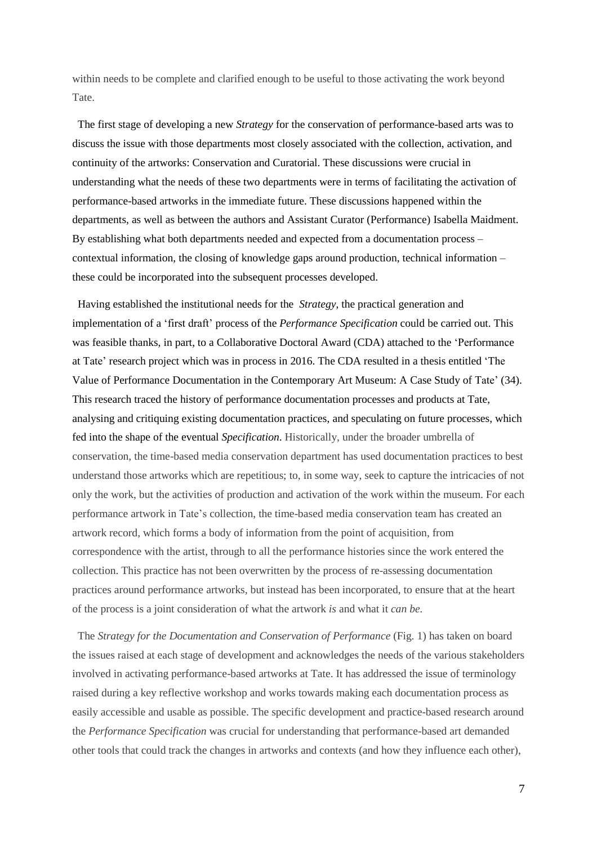within needs to be complete and clarified enough to be useful to those activating the work beyond Tate.

 The first stage of developing a new *Strategy* for the conservation of performance-based arts was to discuss the issue with those departments most closely associated with the collection, activation, and continuity of the artworks: Conservation and Curatorial. These discussions were crucial in understanding what the needs of these two departments were in terms of facilitating the activation of performance-based artworks in the immediate future. These discussions happened within the departments, as well as between the authors and Assistant Curator (Performance) Isabella Maidment. By establishing what both departments needed and expected from a documentation process – contextual information, the closing of knowledge gaps around production, technical information – these could be incorporated into the subsequent processes developed.

 Having established the institutional needs for the *Strategy*, the practical generation and implementation of a 'first draft' process of the *Performance Specification* could be carried out. This was feasible thanks, in part, to a Collaborative Doctoral Award (CDA) attached to the 'Performance at Tate' research project which was in process in 2016. The CDA resulted in a thesis entitled 'The Value of Performance Documentation in the Contemporary Art Museum: A Case Study of Tate' (34). This research traced the history of performance documentation processes and products at Tate, analysing and critiquing existing documentation practices, and speculating on future processes, which fed into the shape of the eventual *Specification*. Historically, under the broader umbrella of conservation, the time-based media conservation department has used documentation practices to best understand those artworks which are repetitious; to, in some way, seek to capture the intricacies of not only the work, but the activities of production and activation of the work within the museum. For each performance artwork in Tate's collection, the time-based media conservation team has created an artwork record, which forms a body of information from the point of acquisition, from correspondence with the artist, through to all the performance histories since the work entered the collection. This practice has not been overwritten by the process of re-assessing documentation practices around performance artworks, but instead has been incorporated, to ensure that at the heart of the process is a joint consideration of what the artwork *is* and what it *can be.*

 The *Strategy for the Documentation and Conservation of Performance* (Fig. 1) has taken on board the issues raised at each stage of development and acknowledges the needs of the various stakeholders involved in activating performance-based artworks at Tate. It has addressed the issue of terminology raised during a key reflective workshop and works towards making each documentation process as easily accessible and usable as possible. The specific development and practice-based research around the *Performance Specification* was crucial for understanding that performance-based art demanded other tools that could track the changes in artworks and contexts (and how they influence each other),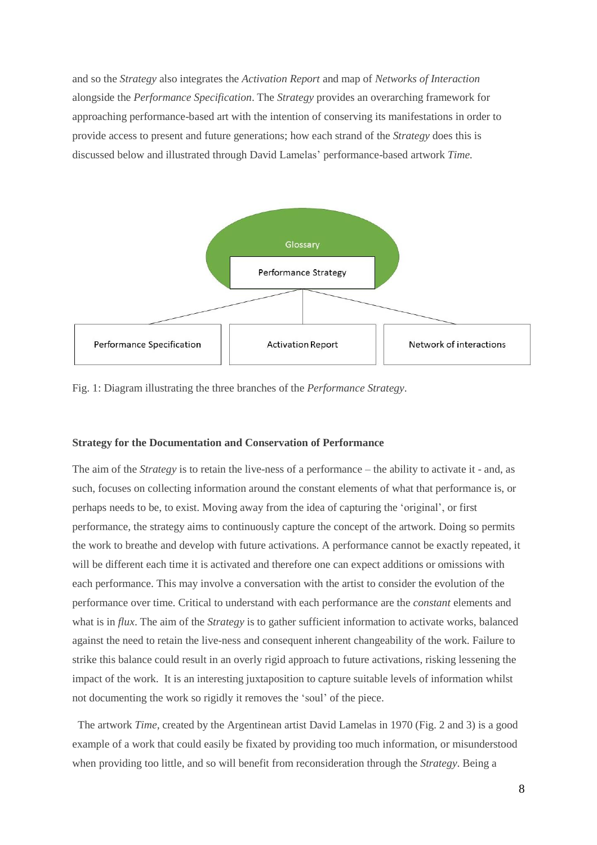and so the *Strategy* also integrates the *Activation Report* and map of *Networks of Interaction* alongside the *Performance Specification*. The *Strategy* provides an overarching framework for approaching performance-based art with the intention of conserving its manifestations in order to provide access to present and future generations; how each strand of the *Strategy* does this is discussed below and illustrated through David Lamelas' performance-based artwork *Time.*



Fig. 1: Diagram illustrating the three branches of the *Performance Strategy*.

#### **Strategy for the Documentation and Conservation of Performance**

The aim of the *Strategy* is to retain the live-ness of a performance – the ability to activate it - and, as such, focuses on collecting information around the constant elements of what that performance is, or perhaps needs to be, to exist. Moving away from the idea of capturing the 'original', or first performance, the strategy aims to continuously capture the concept of the artwork. Doing so permits the work to breathe and develop with future activations. A performance cannot be exactly repeated, it will be different each time it is activated and therefore one can expect additions or omissions with each performance. This may involve a conversation with the artist to consider the evolution of the performance over time. Critical to understand with each performance are the *constant* elements and what is in *flux*. The aim of the *Strategy* is to gather sufficient information to activate works, balanced against the need to retain the live-ness and consequent inherent changeability of the work. Failure to strike this balance could result in an overly rigid approach to future activations, risking lessening the impact of the work. It is an interesting juxtaposition to capture suitable levels of information whilst not documenting the work so rigidly it removes the 'soul' of the piece.

 The artwork *Time*, created by the Argentinean artist David Lamelas in 1970 (Fig. 2 and 3) is a good example of a work that could easily be fixated by providing too much information, or misunderstood when providing too little, and so will benefit from reconsideration through the *Strategy*. Being a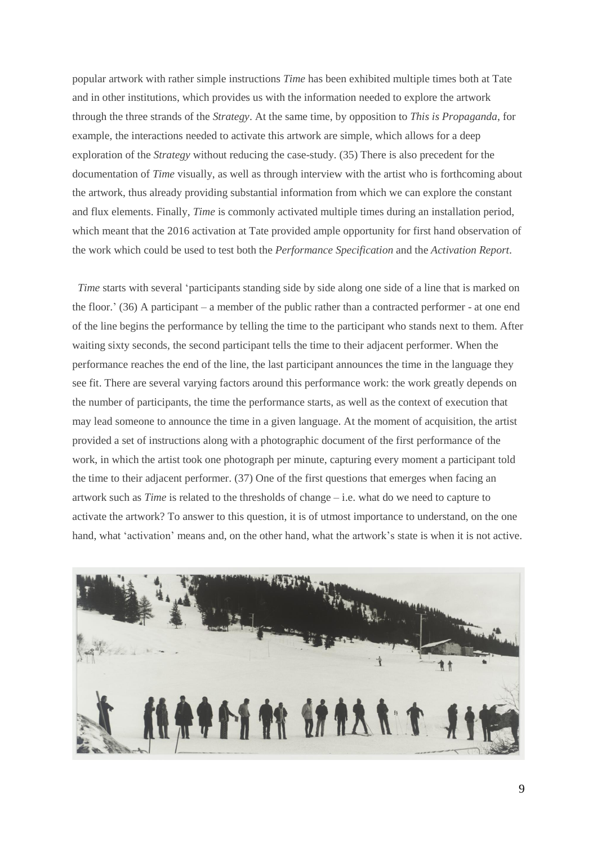popular artwork with rather simple instructions *Time* has been exhibited multiple times both at Tate and in other institutions, which provides us with the information needed to explore the artwork through the three strands of the *Strategy*. At the same time, by opposition to *This is Propaganda*, for example, the interactions needed to activate this artwork are simple, which allows for a deep exploration of the *Strategy* without reducing the case-study. (35) There is also precedent for the documentation of *Time* visually, as well as through interview with the artist who is forthcoming about the artwork, thus already providing substantial information from which we can explore the constant and flux elements. Finally, *Time* is commonly activated multiple times during an installation period, which meant that the 2016 activation at Tate provided ample opportunity for first hand observation of the work which could be used to test both the *Performance Specification* and the *Activation Report*.

*Time* starts with several 'participants standing side by side along one side of a line that is marked on the floor.' (36) A participant – a member of the public rather than a contracted performer - at one end of the line begins the performance by telling the time to the participant who stands next to them. After waiting sixty seconds, the second participant tells the time to their adjacent performer. When the performance reaches the end of the line, the last participant announces the time in the language they see fit. There are several varying factors around this performance work: the work greatly depends on the number of participants, the time the performance starts, as well as the context of execution that may lead someone to announce the time in a given language. At the moment of acquisition, the artist provided a set of instructions along with a photographic document of the first performance of the work, in which the artist took one photograph per minute, capturing every moment a participant told the time to their adjacent performer. (37) One of the first questions that emerges when facing an artwork such as *Time* is related to the thresholds of change – i.e. what do we need to capture to activate the artwork? To answer to this question, it is of utmost importance to understand, on the one hand, what 'activation' means and, on the other hand, what the artwork's state is when it is not active.

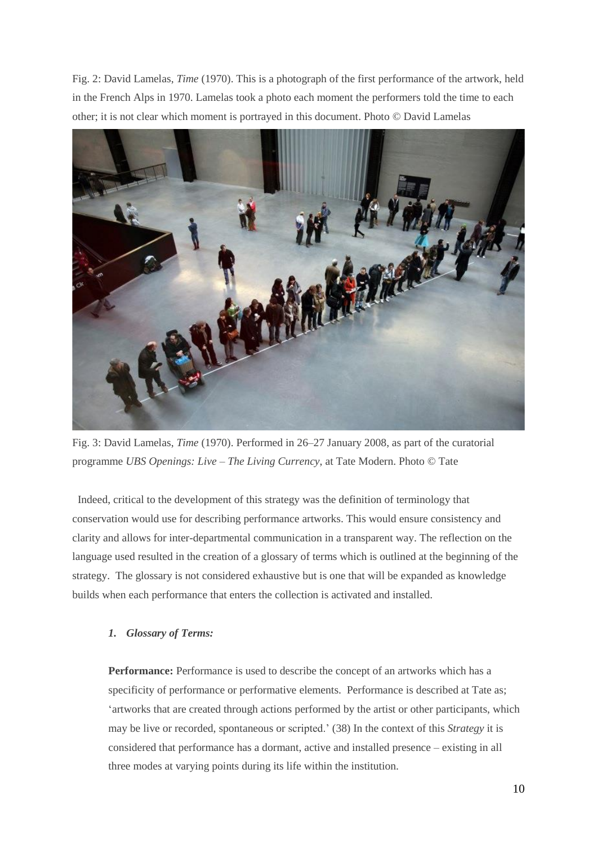Fig. 2: David Lamelas, *Time* (1970). This is a photograph of the first performance of the artwork, held in the French Alps in 1970. Lamelas took a photo each moment the performers told the time to each other; it is not clear which moment is portrayed in this document. Photo © David Lamelas



Fig. 3: David Lamelas, *Time* (1970). Performed in 26–27 January 2008, as part of the curatorial programme *UBS Openings: Live – The Living Currency*, at Tate Modern. Photo © Tate

 Indeed, critical to the development of this strategy was the definition of terminology that conservation would use for describing performance artworks. This would ensure consistency and clarity and allows for inter-departmental communication in a transparent way. The reflection on the language used resulted in the creation of a glossary of terms which is outlined at the beginning of the strategy. The glossary is not considered exhaustive but is one that will be expanded as knowledge builds when each performance that enters the collection is activated and installed.

# *1. Glossary of Terms:*

**Performance:** Performance is used to describe the concept of an artworks which has a specificity of performance or performative elements. Performance is described at Tate as; 'artworks that are created through actions performed by the artist or other participants, which may be live or recorded, spontaneous or scripted.' (38) In the context of this *Strategy* it is considered that performance has a dormant, active and installed presence – existing in all three modes at varying points during its life within the institution.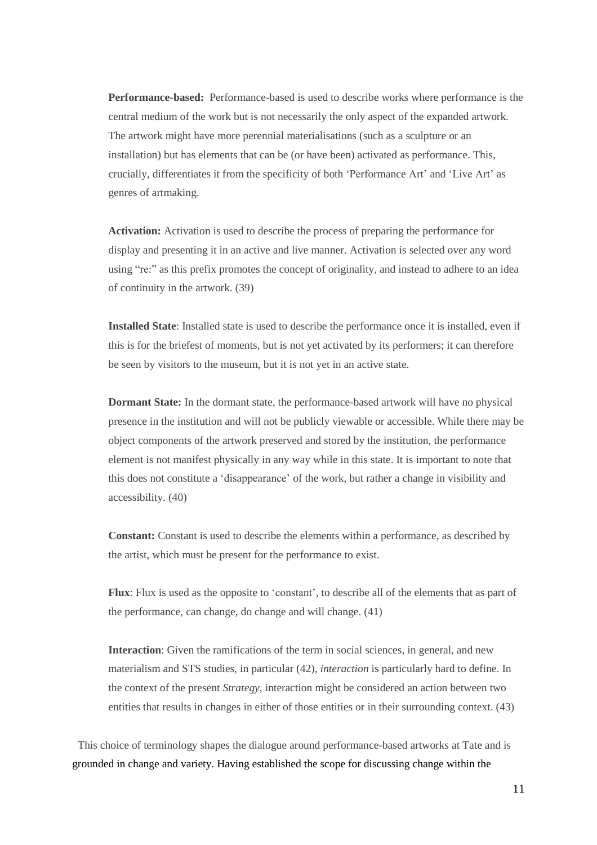**Performance-based:** Performance-based is used to describe works where performance is the central medium of the work but is not necessarily the only aspect of the expanded artwork. The artwork might have more perennial materialisations (such as a sculpture or an installation) but has elements that can be (or have been) activated as performance. This, crucially, differentiates it from the specificity of both 'Performance Art' and 'Live Art' as genres of artmaking.

**Activation:** Activation is used to describe the process of preparing the performance for display and presenting it in an active and live manner. Activation is selected over any word using "re:" as this prefix promotes the concept of originality, and instead to adhere to an idea of continuity in the artwork. (39)

**Installed State**: Installed state is used to describe the performance once it is installed, even if this is for the briefest of moments, but is not yet activated by its performers; it can therefore be seen by visitors to the museum, but it is not yet in an active state.

**Dormant State:** In the dormant state, the performance-based artwork will have no physical presence in the institution and will not be publicly viewable or accessible. While there may be object components of the artwork preserved and stored by the institution, the performance element is not manifest physically in any way while in this state. It is important to note that this does not constitute a 'disappearance' of the work, but rather a change in visibility and accessibility. (40)

**Constant:** Constant is used to describe the elements within a performance, as described by the artist, which must be present for the performance to exist.

**Flux**: Flux is used as the opposite to 'constant', to describe all of the elements that as part of the performance, can change, do change and will change. (41)

**Interaction**: Given the ramifications of the term in social sciences, in general, and new materialism and STS studies, in particular (42), *interaction* is particularly hard to define. In the context of the present *Strategy*, interaction might be considered an action between two entities that results in changes in either of those entities or in their surrounding context. (43)

 This choice of terminology shapes the dialogue around performance-based artworks at Tate and is grounded in change and variety. Having established the scope for discussing change within the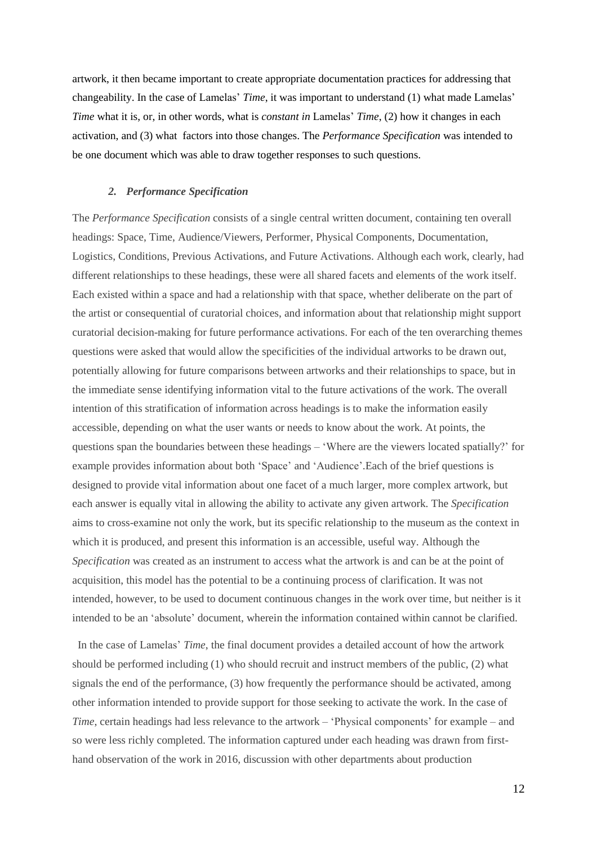artwork, it then became important to create appropriate documentation practices for addressing that changeability. In the case of Lamelas' *Time*, it was important to understand (1) what made Lamelas' *Time* what it is, or, in other words, what is *constant in* Lamelas' *Time*, (2) how it changes in each activation, and (3) what factors into those changes. The *Performance Specification* was intended to be one document which was able to draw together responses to such questions.

#### *2. Performance Specification*

The *Performance Specification* consists of a single central written document, containing ten overall headings: Space, Time, Audience/Viewers, Performer, Physical Components, Documentation, Logistics, Conditions, Previous Activations, and Future Activations. Although each work, clearly, had different relationships to these headings, these were all shared facets and elements of the work itself. Each existed within a space and had a relationship with that space, whether deliberate on the part of the artist or consequential of curatorial choices, and information about that relationship might support curatorial decision-making for future performance activations. For each of the ten overarching themes questions were asked that would allow the specificities of the individual artworks to be drawn out, potentially allowing for future comparisons between artworks and their relationships to space, but in the immediate sense identifying information vital to the future activations of the work. The overall intention of this stratification of information across headings is to make the information easily accessible, depending on what the user wants or needs to know about the work. At points, the questions span the boundaries between these headings – 'Where are the viewers located spatially?' for example provides information about both 'Space' and 'Audience'.Each of the brief questions is designed to provide vital information about one facet of a much larger, more complex artwork, but each answer is equally vital in allowing the ability to activate any given artwork. The *Specification* aims to cross-examine not only the work, but its specific relationship to the museum as the context in which it is produced, and present this information is an accessible, useful way. Although the *Specification* was created as an instrument to access what the artwork is and can be at the point of acquisition, this model has the potential to be a continuing process of clarification. It was not intended, however, to be used to document continuous changes in the work over time, but neither is it intended to be an 'absolute' document, wherein the information contained within cannot be clarified.

 In the case of Lamelas' *Time*, the final document provides a detailed account of how the artwork should be performed including (1) who should recruit and instruct members of the public, (2) what signals the end of the performance, (3) how frequently the performance should be activated, among other information intended to provide support for those seeking to activate the work. In the case of *Time*, certain headings had less relevance to the artwork – 'Physical components' for example – and so were less richly completed. The information captured under each heading was drawn from firsthand observation of the work in 2016, discussion with other departments about production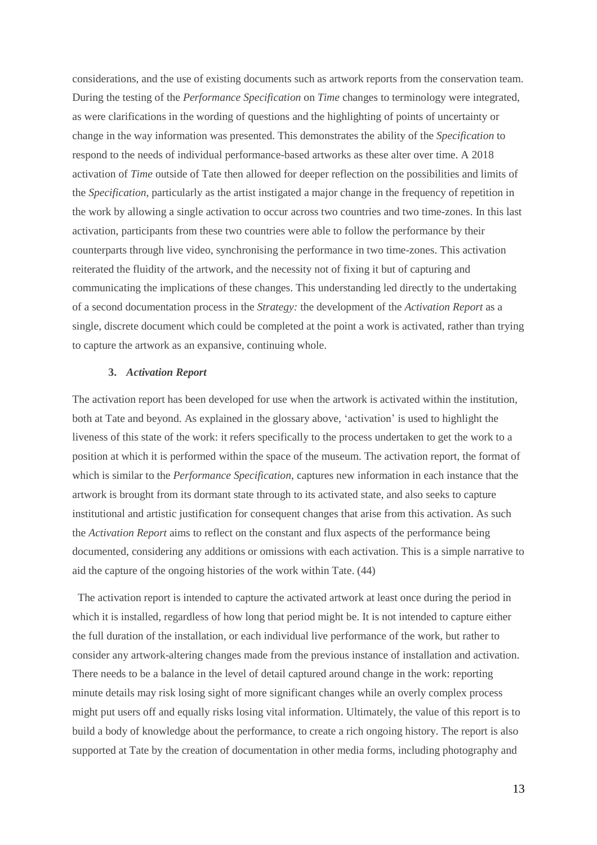considerations, and the use of existing documents such as artwork reports from the conservation team. During the testing of the *Performance Specification* on *Time* changes to terminology were integrated, as were clarifications in the wording of questions and the highlighting of points of uncertainty or change in the way information was presented. This demonstrates the ability of the *Specification* to respond to the needs of individual performance-based artworks as these alter over time. A 2018 activation of *Time* outside of Tate then allowed for deeper reflection on the possibilities and limits of the *Specification*, particularly as the artist instigated a major change in the frequency of repetition in the work by allowing a single activation to occur across two countries and two time-zones. In this last activation, participants from these two countries were able to follow the performance by their counterparts through live video, synchronising the performance in two time-zones. This activation reiterated the fluidity of the artwork, and the necessity not of fixing it but of capturing and communicating the implications of these changes. This understanding led directly to the undertaking of a second documentation process in the *Strategy:* the development of the *Activation Report* as a single, discrete document which could be completed at the point a work is activated, rather than trying to capture the artwork as an expansive, continuing whole.

# **3.** *Activation Report*

The activation report has been developed for use when the artwork is activated within the institution, both at Tate and beyond. As explained in the glossary above, 'activation' is used to highlight the liveness of this state of the work: it refers specifically to the process undertaken to get the work to a position at which it is performed within the space of the museum. The activation report, the format of which is similar to the *Performance Specification*, captures new information in each instance that the artwork is brought from its dormant state through to its activated state, and also seeks to capture institutional and artistic justification for consequent changes that arise from this activation. As such the *Activation Report* aims to reflect on the constant and flux aspects of the performance being documented, considering any additions or omissions with each activation. This is a simple narrative to aid the capture of the ongoing histories of the work within Tate. (44)

 The activation report is intended to capture the activated artwork at least once during the period in which it is installed, regardless of how long that period might be. It is not intended to capture either the full duration of the installation, or each individual live performance of the work, but rather to consider any artwork-altering changes made from the previous instance of installation and activation. There needs to be a balance in the level of detail captured around change in the work: reporting minute details may risk losing sight of more significant changes while an overly complex process might put users off and equally risks losing vital information. Ultimately, the value of this report is to build a body of knowledge about the performance, to create a rich ongoing history. The report is also supported at Tate by the creation of documentation in other media forms, including photography and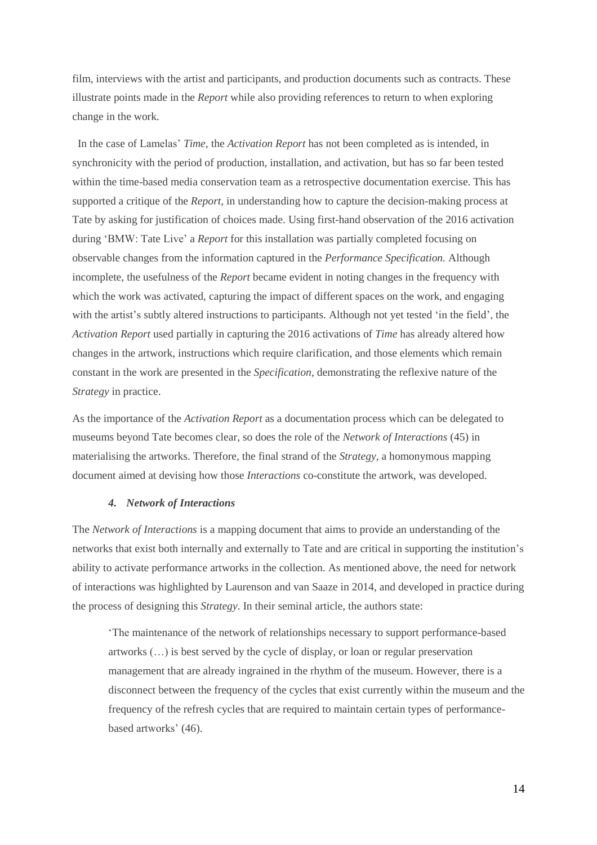film, interviews with the artist and participants, and production documents such as contracts. These illustrate points made in the *Report* while also providing references to return to when exploring change in the work.

 In the case of Lamelas' *Time*, the *Activation Report* has not been completed as is intended, in synchronicity with the period of production, installation, and activation, but has so far been tested within the time-based media conservation team as a retrospective documentation exercise. This has supported a critique of the *Report*, in understanding how to capture the decision-making process at Tate by asking for justification of choices made. Using first-hand observation of the 2016 activation during 'BMW: Tate Live' a *Report* for this installation was partially completed focusing on observable changes from the information captured in the *Performance Specification.* Although incomplete, the usefulness of the *Report* became evident in noting changes in the frequency with which the work was activated, capturing the impact of different spaces on the work, and engaging with the artist's subtly altered instructions to participants. Although not yet tested 'in the field', the *Activation Report* used partially in capturing the 2016 activations of *Time* has already altered how changes in the artwork, instructions which require clarification, and those elements which remain constant in the work are presented in the *Specification*, demonstrating the reflexive nature of the *Strategy* in practice.

As the importance of the *Activation Report* as a documentation process which can be delegated to museums beyond Tate becomes clear, so does the role of the *Network of Interactions* (45) in materialising the artworks. Therefore, the final strand of the *Strategy,* a homonymous mapping document aimed at devising how those *Interactions* co-constitute the artwork, was developed.

#### *4. Network of Interactions*

The *Network of Interactions* is a mapping document that aims to provide an understanding of the networks that exist both internally and externally to Tate and are critical in supporting the institution's ability to activate performance artworks in the collection. As mentioned above, the need for network of interactions was highlighted by Laurenson and van Saaze in 2014, and developed in practice during the process of designing this *Strategy*. In their seminal article, the authors state:

'The maintenance of the network of relationships necessary to support performance-based artworks (…) is best served by the cycle of display, or loan or regular preservation management that are already ingrained in the rhythm of the museum. However, there is a disconnect between the frequency of the cycles that exist currently within the museum and the frequency of the refresh cycles that are required to maintain certain types of performancebased artworks' (46).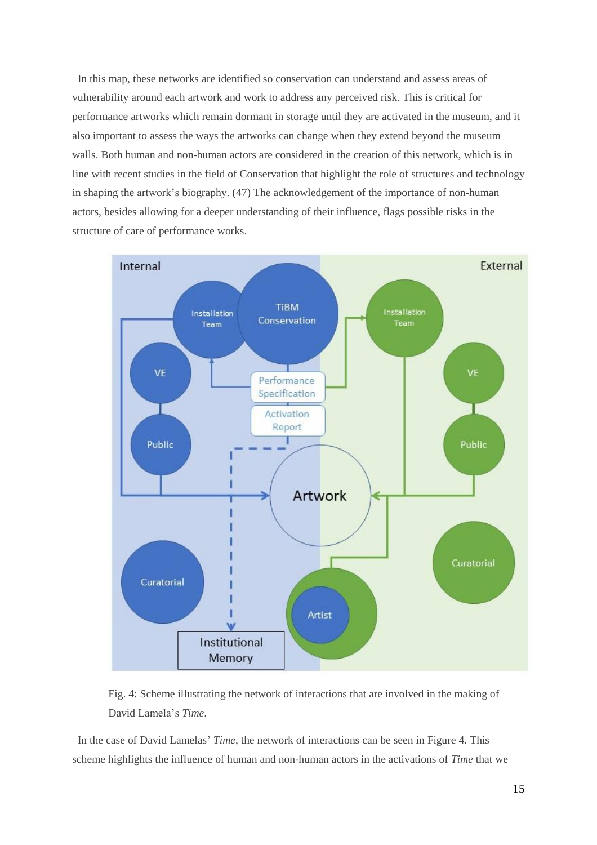In this map, these networks are identified so conservation can understand and assess areas of vulnerability around each artwork and work to address any perceived risk. This is critical for performance artworks which remain dormant in storage until they are activated in the museum, and it also important to assess the ways the artworks can change when they extend beyond the museum walls. Both human and non-human actors are considered in the creation of this network, which is in line with recent studies in the field of Conservation that highlight the role of structures and technology in shaping the artwork's biography. (47) The acknowledgement of the importance of non-human actors, besides allowing for a deeper understanding of their influence, flags possible risks in the structure of care of performance works.



Fig. 4: Scheme illustrating the network of interactions that are involved in the making of David Lamela's *Time*.

In the case of David Lamelas' *Time*, the network of interactions can be seen in Figure 4. This scheme highlights the influence of human and non-human actors in the activations of *Time* that we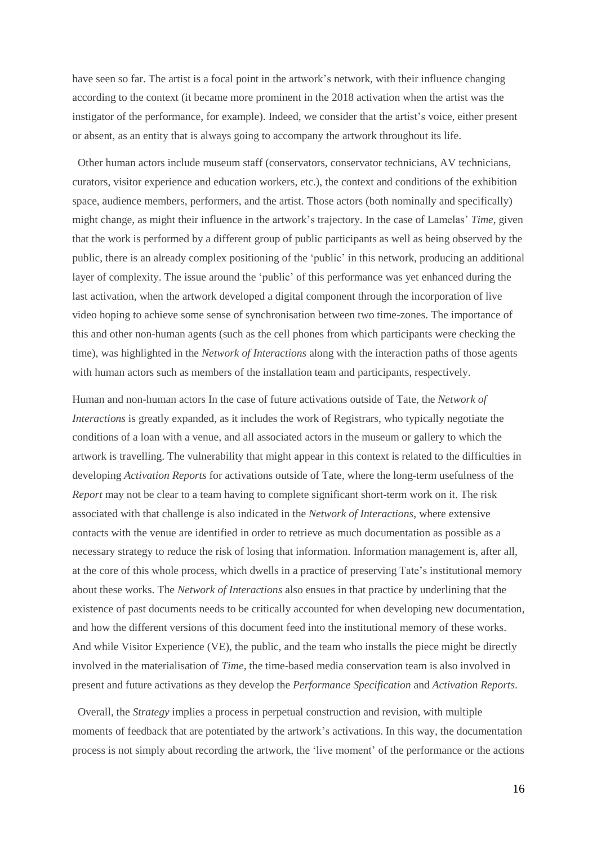have seen so far. The artist is a focal point in the artwork's network, with their influence changing according to the context (it became more prominent in the 2018 activation when the artist was the instigator of the performance, for example). Indeed, we consider that the artist's voice, either present or absent, as an entity that is always going to accompany the artwork throughout its life.

 Other human actors include museum staff (conservators, conservator technicians, AV technicians, curators, visitor experience and education workers, etc.), the context and conditions of the exhibition space, audience members, performers, and the artist. Those actors (both nominally and specifically) might change, as might their influence in the artwork's trajectory. In the case of Lamelas' *Time*, given that the work is performed by a different group of public participants as well as being observed by the public, there is an already complex positioning of the 'public' in this network, producing an additional layer of complexity. The issue around the 'public' of this performance was yet enhanced during the last activation, when the artwork developed a digital component through the incorporation of live video hoping to achieve some sense of synchronisation between two time-zones. The importance of this and other non-human agents (such as the cell phones from which participants were checking the time), was highlighted in the *Network of Interactions* along with the interaction paths of those agents with human actors such as members of the installation team and participants, respectively.

Human and non-human actors In the case of future activations outside of Tate, the *Network of Interactions* is greatly expanded, as it includes the work of Registrars, who typically negotiate the conditions of a loan with a venue, and all associated actors in the museum or gallery to which the artwork is travelling. The vulnerability that might appear in this context is related to the difficulties in developing *Activation Reports* for activations outside of Tate, where the long-term usefulness of the *Report* may not be clear to a team having to complete significant short-term work on it. The risk associated with that challenge is also indicated in the *Network of Interactions*, where extensive contacts with the venue are identified in order to retrieve as much documentation as possible as a necessary strategy to reduce the risk of losing that information. Information management is, after all, at the core of this whole process, which dwells in a practice of preserving Tate's institutional memory about these works. The *Network of Interactions* also ensues in that practice by underlining that the existence of past documents needs to be critically accounted for when developing new documentation, and how the different versions of this document feed into the institutional memory of these works. And while Visitor Experience (VE), the public, and the team who installs the piece might be directly involved in the materialisation of *Time*, the time-based media conservation team is also involved in present and future activations as they develop the *Performance Specification* and *Activation Reports*.

 Overall, the *Strategy* implies a process in perpetual construction and revision, with multiple moments of feedback that are potentiated by the artwork's activations. In this way, the documentation process is not simply about recording the artwork, the 'live moment' of the performance or the actions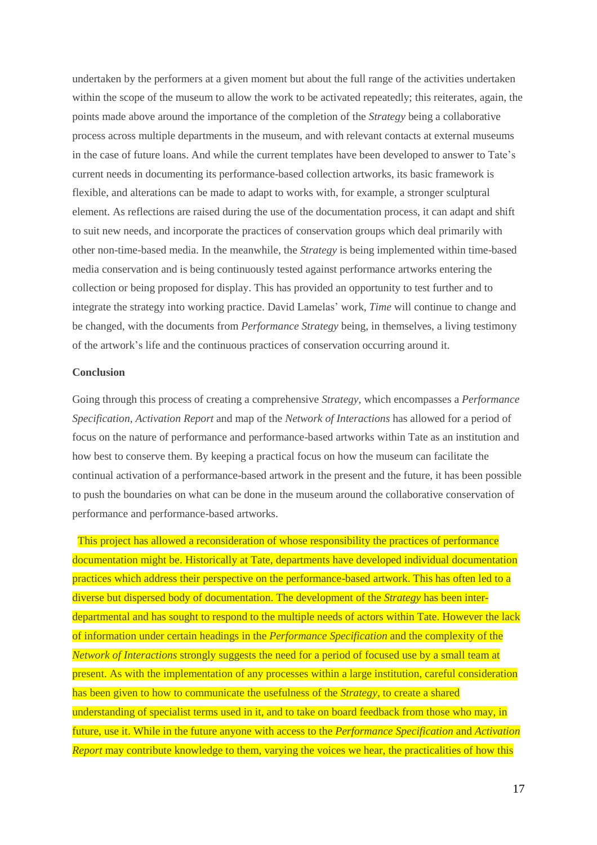undertaken by the performers at a given moment but about the full range of the activities undertaken within the scope of the museum to allow the work to be activated repeatedly; this reiterates, again, the points made above around the importance of the completion of the *Strategy* being a collaborative process across multiple departments in the museum, and with relevant contacts at external museums in the case of future loans. And while the current templates have been developed to answer to Tate's current needs in documenting its performance-based collection artworks, its basic framework is flexible, and alterations can be made to adapt to works with, for example, a stronger sculptural element. As reflections are raised during the use of the documentation process, it can adapt and shift to suit new needs, and incorporate the practices of conservation groups which deal primarily with other non-time-based media. In the meanwhile, the *Strategy* is being implemented within time-based media conservation and is being continuously tested against performance artworks entering the collection or being proposed for display. This has provided an opportunity to test further and to integrate the strategy into working practice. David Lamelas' work, *Time* will continue to change and be changed, with the documents from *Performance Strategy* being, in themselves, a living testimony of the artwork's life and the continuous practices of conservation occurring around it.

# **Conclusion**

Going through this process of creating a comprehensive *Strategy*, which encompasses a *Performance Specification, Activation Report* and map of the *Network of Interactions* has allowed for a period of focus on the nature of performance and performance-based artworks within Tate as an institution and how best to conserve them. By keeping a practical focus on how the museum can facilitate the continual activation of a performance-based artwork in the present and the future, it has been possible to push the boundaries on what can be done in the museum around the collaborative conservation of performance and performance-based artworks.

 This project has allowed a reconsideration of whose responsibility the practices of performance documentation might be. Historically at Tate, departments have developed individual documentation practices which address their perspective on the performance-based artwork. This has often led to a diverse but dispersed body of documentation. The development of the *Strategy* has been interdepartmental and has sought to respond to the multiple needs of actors within Tate. However the lack of information under certain headings in the *Performance Specification* and the complexity of the *Network of Interactions* strongly suggests the need for a period of focused use by a small team at present. As with the implementation of any processes within a large institution, careful consideration has been given to how to communicate the usefulness of the *Strategy,* to create a shared understanding of specialist terms used in it, and to take on board feedback from those who may, in future, use it. While in the future anyone with access to the *Performance Specification* and *Activation Report* may contribute knowledge to them, varying the voices we hear, the practicalities of how this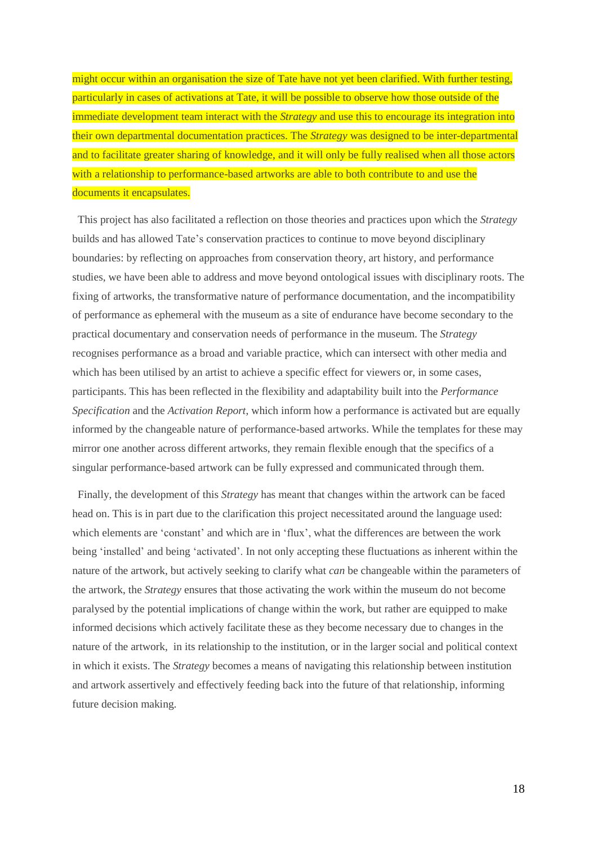might occur within an organisation the size of Tate have not yet been clarified. With further testing, particularly in cases of activations at Tate, it will be possible to observe how those outside of the immediate development team interact with the *Strategy* and use this to encourage its integration into their own departmental documentation practices. The *Strategy* was designed to be inter-departmental and to facilitate greater sharing of knowledge, and it will only be fully realised when all those actors with a relationship to performance-based artworks are able to both contribute to and use the documents it encapsulates.

 This project has also facilitated a reflection on those theories and practices upon which the *Strategy* builds and has allowed Tate's conservation practices to continue to move beyond disciplinary boundaries: by reflecting on approaches from conservation theory, art history, and performance studies, we have been able to address and move beyond ontological issues with disciplinary roots. The fixing of artworks, the transformative nature of performance documentation, and the incompatibility of performance as ephemeral with the museum as a site of endurance have become secondary to the practical documentary and conservation needs of performance in the museum. The *Strategy* recognises performance as a broad and variable practice, which can intersect with other media and which has been utilised by an artist to achieve a specific effect for viewers or, in some cases, participants. This has been reflected in the flexibility and adaptability built into the *Performance Specification* and the *Activation Report*, which inform how a performance is activated but are equally informed by the changeable nature of performance-based artworks. While the templates for these may mirror one another across different artworks, they remain flexible enough that the specifics of a singular performance-based artwork can be fully expressed and communicated through them.

 Finally, the development of this *Strategy* has meant that changes within the artwork can be faced head on. This is in part due to the clarification this project necessitated around the language used: which elements are 'constant' and which are in 'flux', what the differences are between the work being 'installed' and being 'activated'. In not only accepting these fluctuations as inherent within the nature of the artwork, but actively seeking to clarify what *can* be changeable within the parameters of the artwork, the *Strategy* ensures that those activating the work within the museum do not become paralysed by the potential implications of change within the work, but rather are equipped to make informed decisions which actively facilitate these as they become necessary due to changes in the nature of the artwork, in its relationship to the institution, or in the larger social and political context in which it exists. The *Strategy* becomes a means of navigating this relationship between institution and artwork assertively and effectively feeding back into the future of that relationship, informing future decision making.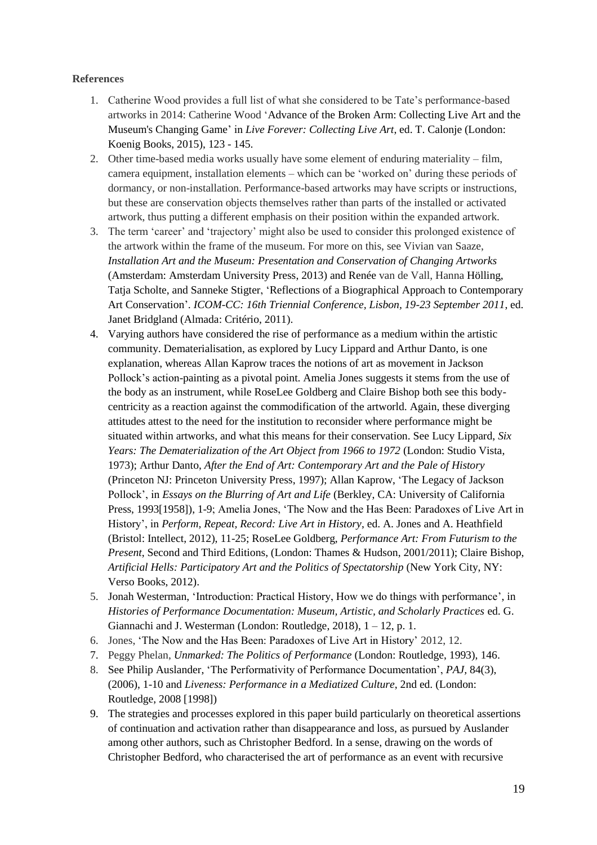# **References**

- 1. Catherine Wood provides a full list of what she considered to be Tate's performance-based artworks in 2014: Catherine Wood 'Advance of the Broken Arm: Collecting Live Art and the Museum's Changing Game' in *Live Forever: Collecting Live Art*, ed. T. Calonje (London: Koenig Books, 2015), 123 - 145.
- 2. Other time-based media works usually have some element of enduring materiality film, camera equipment, installation elements – which can be 'worked on' during these periods of dormancy, or non-installation. Performance-based artworks may have scripts or instructions, but these are conservation objects themselves rather than parts of the installed or activated artwork, thus putting a different emphasis on their position within the expanded artwork.
- 3. The term 'career' and 'trajectory' might also be used to consider this prolonged existence of the artwork within the frame of the museum. For more on this, see Vivian van Saaze, *Installation Art and the Museum: Presentation and Conservation of Changing Artworks*  (Amsterdam: Amsterdam University Press, 2013) and Renée van de Vall, Hanna Hölling, Tatja Scholte, and Sanneke Stigter, 'Reflections of a Biographical Approach to Contemporary Art Conservation'. *ICOM-CC: 16th Triennial Conference, Lisbon, 19-23 September 2011*, ed. Janet Bridgland (Almada: Critério, 2011).
- 4. Varying authors have considered the rise of performance as a medium within the artistic community. Dematerialisation, as explored by Lucy Lippard and Arthur Danto, is one explanation, whereas Allan Kaprow traces the notions of art as movement in Jackson Pollock's action-painting as a pivotal point. Amelia Jones suggests it stems from the use of the body as an instrument, while RoseLee Goldberg and Claire Bishop both see this bodycentricity as a reaction against the commodification of the artworld. Again, these diverging attitudes attest to the need for the institution to reconsider where performance might be situated within artworks, and what this means for their conservation. See Lucy Lippard, *Six Years: The Dematerialization of the Art Object from 1966 to 1972* (London: Studio Vista, 1973); Arthur Danto, *After the End of Art: Contemporary Art and the Pale of History* (Princeton NJ: Princeton University Press, 1997); Allan Kaprow, 'The Legacy of Jackson Pollock', in *Essays on the Blurring of Art and Life* (Berkley, CA: University of California Press, 1993[1958]), 1-9; Amelia Jones, 'The Now and the Has Been: Paradoxes of Live Art in History', in *Perform, Repeat, Record: Live Art in History*, ed. A. Jones and A. Heathfield (Bristol: Intellect, 2012), 11-25; RoseLee Goldberg, *Performance Art: From Futurism to the Present*, Second and Third Editions, (London: Thames & Hudson, 2001/2011); Claire Bishop, *Artificial Hells: Participatory Art and the Politics of Spectatorship* (New York City, NY: Verso Books, 2012).
- 5. Jonah Westerman, 'Introduction: Practical History, How we do things with performance', in *Histories of Performance Documentation: Museum, Artistic, and Scholarly Practices* ed. G. Giannachi and J. Westerman (London: Routledge, 2018), 1 – 12, p. 1.
- 6. Jones, 'The Now and the Has Been: Paradoxes of Live Art in History' 2012, 12.
- 7. Peggy Phelan, *Unmarked: The Politics of Performance* (London: Routledge, 1993), 146.
- 8. See Philip Auslander, 'The Performativity of Performance Documentation', *PAJ,* 84(3), (2006), 1-10 and *Liveness: Performance in a Mediatized Culture*, 2nd ed. (London: Routledge, 2008 [1998])
- 9. The strategies and processes explored in this paper build particularly on theoretical assertions of continuation and activation rather than disappearance and loss, as pursued by Auslander among other authors, such as Christopher Bedford. In a sense, drawing on the words of Christopher Bedford, who characterised the art of performance as an event with recursive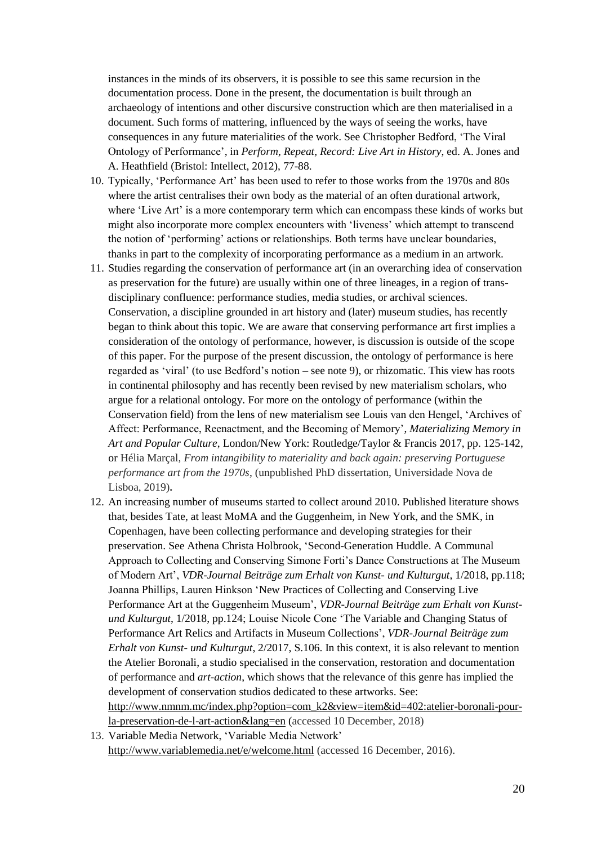instances in the minds of its observers, it is possible to see this same recursion in the documentation process. Done in the present, the documentation is built through an archaeology of intentions and other discursive construction which are then materialised in a document. Such forms of mattering, influenced by the ways of seeing the works, have consequences in any future materialities of the work. See Christopher Bedford, 'The Viral Ontology of Performance', in *Perform, Repeat, Record: Live Art in History*, ed. A. Jones and A. Heathfield (Bristol: Intellect, 2012), 77-88.

- 10. Typically, 'Performance Art' has been used to refer to those works from the 1970s and 80s where the artist centralises their own body as the material of an often durational artwork, where 'Live Art' is a more contemporary term which can encompass these kinds of works but might also incorporate more complex encounters with 'liveness' which attempt to transcend the notion of 'performing' actions or relationships. Both terms have unclear boundaries, thanks in part to the complexity of incorporating performance as a medium in an artwork.
- 11. Studies regarding the conservation of performance art (in an overarching idea of conservation as preservation for the future) are usually within one of three lineages, in a region of transdisciplinary confluence: performance studies, media studies, or archival sciences. Conservation, a discipline grounded in art history and (later) museum studies, has recently began to think about this topic. We are aware that conserving performance art first implies a consideration of the ontology of performance, however, is discussion is outside of the scope of this paper. For the purpose of the present discussion, the ontology of performance is here regarded as 'viral' (to use Bedford's notion – see note 9), or rhizomatic. This view has roots in continental philosophy and has recently been revised by new materialism scholars, who argue for a relational ontology. For more on the ontology of performance (within the Conservation field) from the lens of new materialism see Louis van den Hengel, 'Archives of Affect: Performance, Reenactment, and the Becoming of Memory', *Materializing Memory in Art and Popular Culture*, London/New York: Routledge/Taylor & Francis 2017, pp. 125-142, or Hélia Marçal, *From intangibility to materiality and back again: preserving Portuguese performance art from the 1970s*, (unpublished PhD dissertation, Universidade Nova de Lisboa, 2019)**.**
- 12. An increasing number of museums started to collect around 2010. Published literature shows that, besides Tate, at least MoMA and the Guggenheim, in New York, and the SMK, in Copenhagen, have been collecting performance and developing strategies for their preservation. See Athena Christa Holbrook, 'Second-Generation Huddle. A Communal Approach to Collecting and Conserving Simone Forti's Dance Constructions at The Museum of Modern Art', *VDR-Journal Beiträge zum Erhalt von Kunst- und Kulturgut*, 1/2018, pp.118; Joanna Phillips, Lauren Hinkson 'New Practices of Collecting and Conserving Live Performance Art at the Guggenheim Museum', *VDR-Journal Beiträge zum Erhalt von Kunstund Kulturgut*, 1/2018, pp.124; Louise Nicole Cone 'The Variable and Changing Status of Performance Art Relics and Artifacts in Museum Collections', *VDR-Journal Beiträge zum Erhalt von Kunst- und Kulturgut*, 2/2017, S.106. In this context, it is also relevant to mention the Atelier Boronali, a studio specialised in the conservation, restoration and documentation of performance and *art-action*, which shows that the relevance of this genre has implied the development of conservation studios dedicated to these artworks. See: [http://www.nmnm.mc/index.php?option=com\\_k2&view=item&id=402:atelier-boronali-pour](http://www.nmnm.mc/index.php?option=com_k2&view=item&id=402:atelier-boronali-pour-la-preservation-de-l-art-action&lang=en)[la-preservation-de-l-art-action&lang=en](http://www.nmnm.mc/index.php?option=com_k2&view=item&id=402:atelier-boronali-pour-la-preservation-de-l-art-action&lang=en) (accessed 10 December, 2018)
- 13. Variable Media Network, 'Variable Media Network' <http://www.variablemedia.net/e/welcome.html> (accessed 16 December, 2016).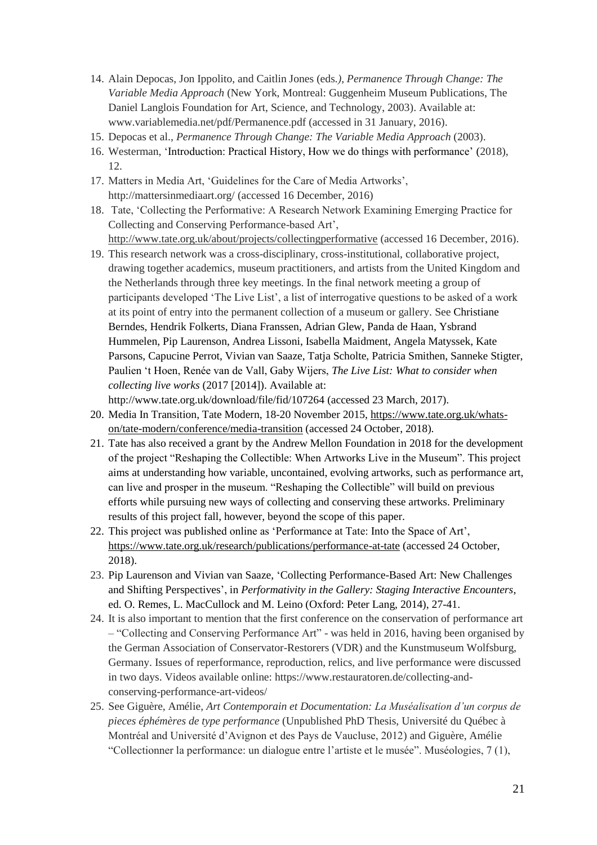- 14. Alain Depocas, Jon Ippolito, and Caitlin Jones (eds*.), Permanence Through Change: The Variable Media Approach* (New York, Montreal: Guggenheim Museum Publications, The Daniel Langlois Foundation for Art, Science, and Technology, 2003). Available at: www.variablemedia.net/pdf/Permanence.pdf (accessed in 31 January, 2016).
- 15. Depocas et al., *Permanence Through Change: The Variable Media Approach* (2003).
- 16. Westerman, 'Introduction: Practical History, How we do things with performance' (2018), 12.
- 17. Matters in Media Art, 'Guidelines for the Care of Media Artworks', http://mattersinmediaart.org/ (accessed 16 December, 2016)
- 18. Tate, 'Collecting the Performative: A Research Network Examining Emerging Practice for Collecting and Conserving Performance-based Art', <http://www.tate.org.uk/about/projects/collectingperformative> (accessed 16 December, 2016).
- 19. This research network was a cross-disciplinary, cross-institutional, collaborative project, drawing together academics, museum practitioners, and artists from the United Kingdom and the Netherlands through three key meetings. In the final network meeting a group of participants developed 'The Live List', a list of interrogative questions to be asked of a work at its point of entry into the permanent collection of a museum or gallery. See Christiane Berndes, Hendrik Folkerts, Diana Franssen, Adrian Glew, Panda de Haan, Ysbrand Hummelen, Pip Laurenson, Andrea Lissoni, Isabella Maidment, Angela Matyssek, Kate Parsons, Capucine Perrot, Vivian van Saaze, Tatja Scholte, Patricia Smithen, Sanneke Stigter, Paulien 't Hoen, Renée van de Vall, Gaby Wijers, *The Live List: What to consider when collecting live works* (2017 [2014]). Available at:

http://www.tate.org.uk/download/file/fid/107264 (accessed 23 March, 2017).

- 20. Media In Transition, Tate Modern, 18-20 November 2015, [https://www.tate.org.uk/whats](https://www.tate.org.uk/whats-on/tate-modern/conference/media-transition)[on/tate-modern/conference/media-transition](https://www.tate.org.uk/whats-on/tate-modern/conference/media-transition) (accessed 24 October, 2018).
- 21. Tate has also received a grant by the Andrew Mellon Foundation in 2018 for the development of the project "Reshaping the Collectible: When Artworks Live in the Museum". This project aims at understanding how variable, uncontained, evolving artworks, such as performance art, can live and prosper in the museum. "Reshaping the Collectible" will build on previous efforts while pursuing new ways of collecting and conserving these artworks. Preliminary results of this project fall, however, beyond the scope of this paper.
- 22. This project was published online as 'Performance at Tate: Into the Space of Art', <https://www.tate.org.uk/research/publications/performance-at-tate> (accessed 24 October, 2018).
- 23. Pip Laurenson and Vivian van Saaze, 'Collecting Performance-Based Art: New Challenges and Shifting Perspectives', in *Performativity in the Gallery: Staging Interactive Encounters*, ed. O. Remes, L. MacCullock and M. Leino (Oxford: Peter Lang, 2014), 27-41.
- 24. It is also important to mention that the first conference on the conservation of performance art – "Collecting and Conserving Performance Art" - was held in 2016, having been organised by the German Association of Conservator-Restorers (VDR) and the Kunstmuseum Wolfsburg, Germany. Issues of reperformance, reproduction, relics, and live performance were discussed in two days. Videos available online: https://www.restauratoren.de/collecting-andconserving-performance-art-videos/
- 25. See Giguère, Amélie, *Art Contemporain et Documentation: La Muséalisation d'un corpus de pieces éphémères de type performance* (Unpublished PhD Thesis, Université du Québec à Montréal and Université d'Avignon et des Pays de Vaucluse, 2012) and Giguère, Amélie "Collectionner la performance: un dialogue entre l'artiste et le musée". Muséologies, 7 (1),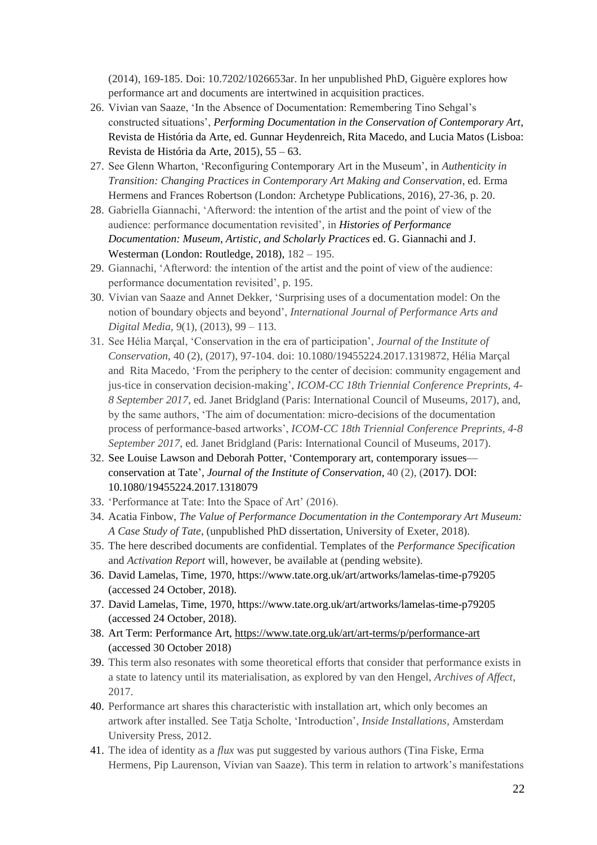(2014), 169-185. Doi: 10.7202/1026653ar. In her unpublished PhD, Giguère explores how performance art and documents are intertwined in acquisition practices.

- 26. Vivian van Saaze, 'In the Absence of Documentation: Remembering Tino Sehgal's constructed situations', *Performing Documentation in the Conservation of Contemporary Art*, Revista de História da Arte, ed. Gunnar Heydenreich, Rita Macedo, and Lucia Matos (Lisboa: Revista de História da Arte, 2015), 55 – 63.
- 27. See Glenn Wharton, 'Reconfiguring Contemporary Art in the Museum', in *Authenticity in Transition: Changing Practices in Contemporary Art Making and Conservation*, ed. Erma Hermens and Frances Robertson (London: Archetype Publications, 2016), 27-36, p. 20.
- 28. Gabriella Giannachi, 'Afterword: the intention of the artist and the point of view of the audience: performance documentation revisited', in *Histories of Performance Documentation: Museum, Artistic, and Scholarly Practices* ed. G. Giannachi and J. Westerman (London: Routledge, 2018), 182 – 195.
- 29. Giannachi, 'Afterword: the intention of the artist and the point of view of the audience: performance documentation revisited', p. 195.
- 30. Vivian van Saaze and Annet Dekker, 'Surprising uses of a documentation model: On the notion of boundary objects and beyond', *International Journal of Performance Arts and Digital Media,* 9(1), (2013), 99 – 113.
- 31. See Hélia Marçal, 'Conservation in the era of participation', *Journal of the Institute of Conservation*, 40 (2), (2017), 97-104. doi: 10.1080/19455224.2017.1319872, Hélia Marçal and Rita Macedo, 'From the periphery to the center of decision: community engagement and jus-tice in conservation decision-making', *ICOM-CC 18th Triennial Conference Preprints, 4- 8 September 2017*, ed. Janet Bridgland (Paris: International Council of Museums, 2017), and, by the same authors, 'The aim of documentation: micro-decisions of the documentation process of performance-based artworks', *ICOM-CC 18th Triennial Conference Preprints, 4-8 September 2017*, ed. Janet Bridgland (Paris: International Council of Museums, 2017).
- 32. See Louise Lawson and Deborah Potter, 'Contemporary art, contemporary issues conservation at Tate', *Journal of the Institute of Conservation*, 40 (2), (2017). DOI: 10.1080/19455224.2017.1318079
- 33. 'Performance at Tate: Into the Space of Art' (2016).
- 34. Acatia Finbow, *The Value of Performance Documentation in the Contemporary Art Museum: A Case Study of Tate*, (unpublished PhD dissertation, University of Exeter, 2018).
- 35. The here described documents are confidential. Templates of the *Performance Specification* and *Activation Report* will, however, be available at (pending website).
- 36. David Lamelas, Time, 1970, https://www.tate.org.uk/art/artworks/lamelas-time-p79205 (accessed 24 October, 2018).
- 37. David Lamelas, Time, 1970, https://www.tate.org.uk/art/artworks/lamelas-time-p79205 (accessed 24 October, 2018).
- 38. Art Term: Performance Art,<https://www.tate.org.uk/art/art-terms/p/performance-art> (accessed 30 October 2018)
- 39. This term also resonates with some theoretical efforts that consider that performance exists in a state to latency until its materialisation, as explored by van den Hengel, *Archives of Affect*, 2017.
- 40. Performance art shares this characteristic with installation art, which only becomes an artwork after installed. See Tatja Scholte, 'Introduction', *Inside Installations*, Amsterdam University Press, 2012.
- 41. The idea of identity as a *flux* was put suggested by various authors (Tina Fiske, Erma Hermens, Pip Laurenson, Vivian van Saaze). This term in relation to artwork's manifestations